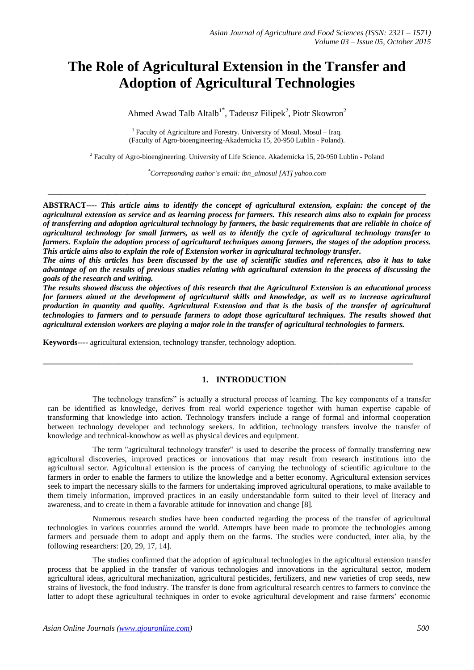# **The Role of Agricultural Extension in the Transfer and Adoption of Agricultural Technologies**

Ahmed Awad Talb Altalb<sup>1\*</sup>, Tadeusz Filipek<sup>2</sup>, Piotr Skowron<sup>2</sup>

<sup>1</sup> Faculty of Agriculture and Forestry. University of Mosul. Mosul – Iraq. (Faculty of Agro-bioengineering-Akademicka 15, 20-950 Lublin - Poland).

<sup>2</sup> Faculty of Agro-bioengineering. University of Life Science. Akademicka 15, 20-950 Lublin - Poland

*\*Correpsonding author's email: ibn\_almosul [AT] yahoo.com*

 $\_$  ,  $\_$  ,  $\_$  ,  $\_$  ,  $\_$  ,  $\_$  ,  $\_$  ,  $\_$  ,  $\_$  ,  $\_$  ,  $\_$  ,  $\_$  ,  $\_$  ,  $\_$  ,  $\_$  ,  $\_$  ,  $\_$  ,  $\_$  ,  $\_$  ,  $\_$  ,  $\_$  ,  $\_$  ,  $\_$  ,  $\_$  ,  $\_$  ,  $\_$  ,  $\_$  ,  $\_$  ,  $\_$  ,  $\_$  ,  $\_$  ,  $\_$  ,  $\_$  ,  $\_$  ,  $\_$  ,  $\_$  ,  $\_$  ,

**ABSTRACT----** *This article aims to identify the concept of agricultural extension, explain: the concept of the agricultural extension as service and as learning process for farmers. This research aims also to explain for process of transferring and adoption agricultural technology by farmers, the basic requirements that are reliable in choice of agricultural technology for small farmers, as well as to identify the cycle of agricultural technology transfer to farmers. Explain the adoption process of agricultural techniques among farmers, the stages of the adoption process. This article aims also to explain the role of Extension worker in agricultural technology transfer.* 

*The aims of this articles has been discussed by the use of scientific studies and references, also it has to take advantage of on the results of previous studies relating with agricultural extension in the process of discussing the goals of the research and writing.*

*The results showed discuss the objectives of this research that the Agricultural Extension is an educational process for farmers aimed at the development of agricultural skills and knowledge, as well as to increase agricultural production in quantity and quality. Agricultural Extension and that is the basis of the transfer of agricultural technologies to farmers and to persuade farmers to adopt those agricultural techniques. The results showed that agricultural extension workers are playing a major role in the transfer of agricultural technologies to farmers.*

**Keywords----** agricultural extension, technology transfer, technology adoption.

# **1. INTRODUCTION**

**\_\_\_\_\_\_\_\_\_\_\_\_\_\_\_\_\_\_\_\_\_\_\_\_\_\_\_\_\_\_\_\_\_\_\_\_\_\_\_\_\_\_\_\_\_\_\_\_\_\_\_\_\_\_\_\_\_\_\_\_\_\_\_\_\_\_\_\_\_\_\_\_\_\_\_\_\_\_\_\_\_\_\_\_\_\_\_\_\_\_\_\_\_**

The technology transfers" is actually a structural process of learning. The key components of a transfer can be identified as knowledge, derives from real world experience together with human expertise capable of transforming that knowledge into action. Technology transfers include a range of formal and informal cooperation between technology developer and technology seekers. In addition, technology transfers involve the transfer of knowledge and technical-knowhow as well as physical devices and equipment.

The term "agricultural technology transfer" is used to describe the process of formally transferring new agricultural discoveries, improved practices or innovations that may result from research institutions into the agricultural sector. Agricultural extension is the process of carrying the technology of scientific agriculture to the farmers in order to enable the farmers to utilize the knowledge and a better economy. Agricultural extension services seek to impart the necessary skills to the farmers for undertaking improved agricultural operations, to make available to them timely information, improved practices in an easily understandable form suited to their level of literacy and awareness, and to create in them a favorable attitude for innovation and change [8].

Numerous research studies have been conducted regarding the process of the transfer of agricultural technologies in various countries around the world. Attempts have been made to promote the technologies among farmers and persuade them to adopt and apply them on the farms. The studies were conducted, inter alia, by the following researchers: [20, 29, 17, 14].

The studies confirmed that the adoption of agricultural technologies in the agricultural extension transfer process that be applied in the transfer of various technologies and innovations in the agricultural sector, modern agricultural ideas, agricultural mechanization, agricultural pesticides, fertilizers, and new varieties of crop seeds, new strains of livestock, the food industry. The transfer is done from agricultural research centres to farmers to convince the latter to adopt these agricultural techniques in order to evoke agricultural development and raise farmers' economic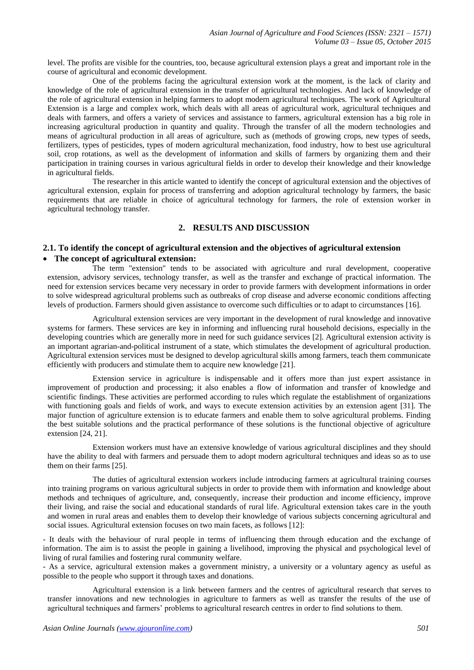level. The profits are visible for the countries, too, because agricultural extension plays a great and important role in the course of agricultural and economic development.

One of the problems facing the agricultural extension work at the moment, is the lack of clarity and knowledge of the role of agricultural extension in the transfer of agricultural technologies. And lack of knowledge of the role of agricultural extension in helping farmers to adopt modern agricultural techniques. The work of Agricultural Extension is a large and complex work, which deals with all areas of agricultural work, agricultural techniques and deals with farmers, and offers a variety of services and assistance to farmers, agricultural extension has a big role in increasing agricultural production in quantity and quality. Through the transfer of all the modern technologies and means of agricultural production in all areas of agriculture, such as (methods of growing crops, new types of seeds, fertilizers, types of pesticides, types of modern agricultural mechanization, food industry, how to best use agricultural soil, crop rotations, as well as the development of information and skills of farmers by organizing them and their participation in training courses in various agricultural fields in order to develop their knowledge and their knowledge in agricultural fields.

The researcher in this article wanted to identify the concept of agricultural extension and the objectives of agricultural extension, explain for process of transferring and adoption agricultural technology by farmers, the basic requirements that are reliable in choice of agricultural technology for farmers, the role of extension worker in agricultural technology transfer.

# **2. RESULTS AND DISCUSSION**

## **2.1. To identify the concept of agricultural extension and the objectives of agricultural extension The concept of agricultural extension:**

The term "extension" tends to be associated with agriculture and rural development, cooperative extension, advisory services, technology transfer, as well as the transfer and exchange of practical information. The need for extension services became very necessary in order to provide farmers with development informations in order to solve widespread agricultural problems such as outbreaks of crop disease and adverse economic conditions affecting levels of production. Farmers should given assistance to overcome such difficulties or to adapt to circumstances [16].

Agricultural extension services are very important in the development of rural knowledge and innovative systems for farmers. These services are key in informing and influencing rural household decisions, especially in the developing countries which are generally more in need for such guidance services [2]. Agricultural extension activity is an important agrarian-and-political instrument of a state, which stimulates the development of agricultural production. Agricultural extension services must be designed to develop agricultural skills among farmers, teach them communicate efficiently with producers and stimulate them to acquire new knowledge [21].

Extension service in agriculture is indispensable and it offers more than just expert assistance in improvement of production and processing; it also enables a flow of information and transfer of knowledge and scientific findings. These activities are performed according to rules which regulate the establishment of organizations with functioning goals and fields of work, and ways to execute extension activities by an extension agent [31]. The major function of agriculture extension is to educate farmers and enable them to solve agricultural problems. Finding the best suitable solutions and the practical performance of these solutions is the functional objective of agriculture extension [24, 21].

Extension workers must have an extensive knowledge of various agricultural disciplines and they should have the ability to deal with farmers and persuade them to adopt modern agricultural techniques and ideas so as to use them on their farms [25].

The duties of agricultural extension workers include introducing farmers at agricultural training courses into training programs on various agricultural subjects in order to provide them with information and knowledge about methods and techniques of agriculture, and, consequently, increase their production and income efficiency, improve their living, and raise the social and educational standards of rural life. Agricultural extension takes care in the youth and women in rural areas and enables them to develop their knowledge of various subjects concerning agricultural and social issues. Agricultural extension focuses on two main facets, as follows [12]:

- It deals with the behaviour of rural people in terms of influencing them through education and the exchange of information. The aim is to assist the people in gaining a livelihood, improving the physical and psychological level of living of rural families and fostering rural community welfare.

- As a service, agricultural extension makes a government ministry, a university or a voluntary agency as useful as possible to the people who support it through taxes and donations.

Agricultural extension is a link between farmers and the centres of agricultural research that serves to transfer innovations and new technologies in agriculture to farmers as well as transfer the results of the use of agricultural techniques and farmers' problems to agricultural research centres in order to find solutions to them.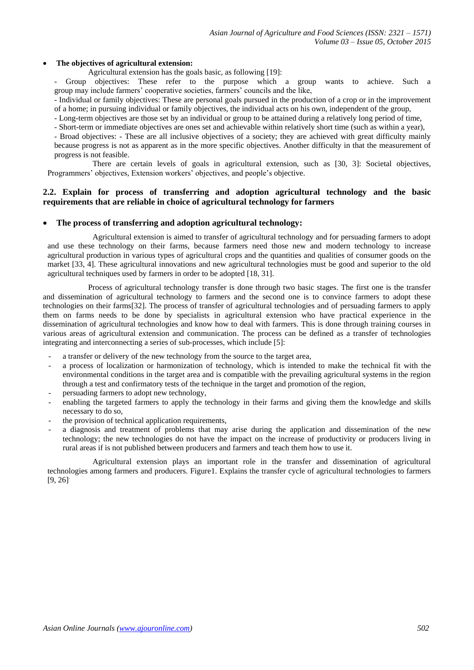#### **The objectives of agricultural extension:**

Agricultural extension has the goals basic, as following [19]:

- Group objectives: These refer to the purpose which a group wants to achieve. Such a group may include farmers' cooperative societies, farmers' councils and the like,

- Individual or family objectives: These are personal goals pursued in the production of a crop or in the improvement of a home; in pursuing individual or family objectives, the individual acts on his own, independent of the group,

- Long-term objectives are those set by an individual or group to be attained during a relatively long period of time,

- Short-term or immediate objectives are ones set and achievable within relatively short time (such as within a year),

- Broad objectives: - These are all inclusive objectives of a society; they are achieved with great difficulty mainly because progress is not as apparent as in the more specific objectives. Another difficulty in that the measurement of progress is not feasible.

There are certain levels of goals in agricultural extension, such as [30, 3]: Societal objectives, Programmers' objectives, Extension workers' objectives, and people's objective.

## **2.2. Explain for process of transferring and adoption agricultural technology and the basic requirements that are reliable in choice of agricultural technology for farmers**

#### **The process of transferring and adoption agricultural technology:**

Agricultural extension is aimed to transfer of agricultural technology and for persuading farmers to adopt and use these technology on their farms, because farmers need those new and modern technology to increase agricultural production in various types of agricultural crops and the quantities and qualities of consumer goods on the market [33, 4]. These agricultural innovations and new agricultural technologies must be good and superior to the old agricultural techniques used by farmers in order to be adopted [18, 31].

Process of agricultural technology transfer is done through two basic stages. The first one is the transfer and dissemination of agricultural technology to farmers and the second one is to convince farmers to adopt these technologies on their farms[32]. The process of transfer of agricultural technologies and of persuading farmers to apply them on farms needs to be done by specialists in agricultural extension who have practical experience in the dissemination of agricultural technologies and know how to deal with farmers. This is done through training courses in various areas of agricultural extension and communication. The process can be defined as a transfer of technologies integrating and interconnecting a series of sub-processes, which include [5]:

- a transfer or delivery of the new technology from the source to the target area,
- a process of localization or harmonization of technology, which is intended to make the technical fit with the environmental conditions in the target area and is compatible with the prevailing agricultural systems in the region through a test and confirmatory tests of the technique in the target and promotion of the region,
- persuading farmers to adopt new technology,
- enabling the targeted farmers to apply the technology in their farms and giving them the knowledge and skills necessary to do so,
- the provision of technical application requirements,
- a diagnosis and treatment of problems that may arise during the application and dissemination of the new technology; the new technologies do not have the impact on the increase of productivity or producers living in rural areas if is not published between producers and farmers and teach them how to use it.

Agricultural extension plays an important role in the transfer and dissemination of agricultural technologies among farmers and producers. Figure1. Explains the transfer cycle of agricultural technologies to farmers  $[9, 26]$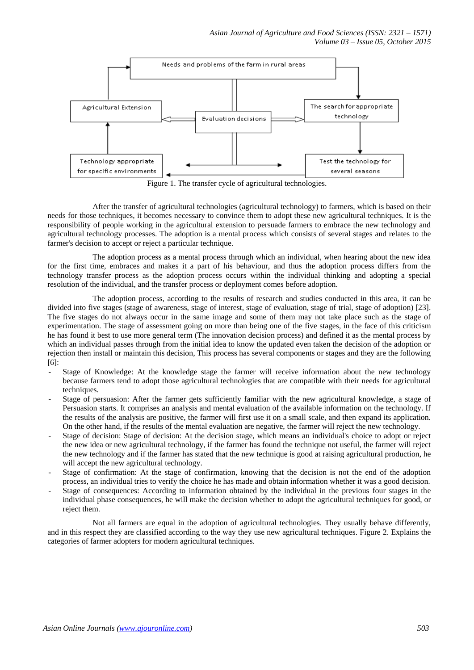

Figure 1. The transfer cycle of agricultural technologies.

After the transfer of agricultural technologies (agricultural technology) to farmers, which is based on their needs for those techniques, it becomes necessary to convince them to adopt these new agricultural techniques. It is the responsibility of people working in the agricultural extension to persuade farmers to embrace the new technology and agricultural technology processes. The adoption is a mental process which consists of several stages and relates to the farmer's decision to accept or reject a particular technique.

The adoption process as a mental process through which an individual, when hearing about the new idea for the first time, embraces and makes it a part of his behaviour, and thus the adoption process differs from the technology transfer process as the adoption process occurs within the individual thinking and adopting a special resolution of the individual, and the transfer process or deployment comes before adoption.

The adoption process, according to the results of research and studies conducted in this area, it can be divided into five stages (stage of awareness, stage of interest, stage of evaluation, stage of trial, stage of adoption) [23]. The five stages do not always occur in the same image and some of them may not take place such as the stage of experimentation. The stage of assessment going on more than being one of the five stages, in the face of this criticism he has found it best to use more general term (The innovation decision process) and defined it as the mental process by which an individual passes through from the initial idea to know the updated even taken the decision of the adoption or rejection then install or maintain this decision, This process has several components or stages and they are the following [6]:

- Stage of Knowledge: At the knowledge stage the farmer will receive information about the new technology because farmers tend to adopt those agricultural technologies that are compatible with their needs for agricultural techniques.
- Stage of persuasion: After the farmer gets sufficiently familiar with the new agricultural knowledge, a stage of Persuasion starts. It comprises an analysis and mental evaluation of the available information on the technology. If the results of the analysis are positive, the farmer will first use it on a small scale, and then expand its application. On the other hand, if the results of the mental evaluation are negative, the farmer will reject the new technology.
- Stage of decision: Stage of decision: At the decision stage, which means an individual's choice to adopt or reject the new idea or new agricultural technology, if the farmer has found the technique not useful, the farmer will reject the new technology and if the farmer has stated that the new technique is good at raising agricultural production, he will accept the new agricultural technology.
- Stage of confirmation: At the stage of confirmation, knowing that the decision is not the end of the adoption process, an individual tries to verify the choice he has made and obtain information whether it was a good decision.
- Stage of consequences: According to information obtained by the individual in the previous four stages in the individual phase consequences, he will make the decision whether to adopt the agricultural techniques for good, or reject them.

Not all farmers are equal in the adoption of agricultural technologies. They usually behave differently, and in this respect they are classified according to the way they use new agricultural techniques. Figure 2. Explains the categories of farmer adopters for modern agricultural techniques.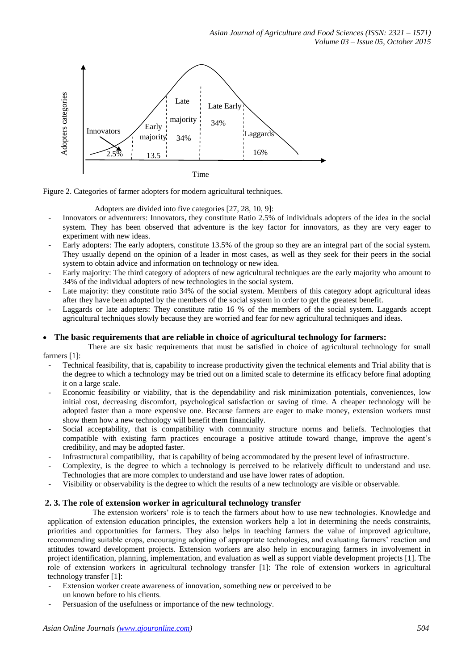



#### Adopters are divided into five categories [27, 28, 10, 9]:

- Innovators or adventurers: Innovators, they constitute Ratio 2.5% of individuals adopters of the idea in the social system. They has been observed that adventure is the key factor for innovators, as they are very eager to experiment with new ideas.
- Early adopters: The early adopters, constitute 13.5% of the group so they are an integral part of the social system. They usually depend on the opinion of a leader in most cases, as well as they seek for their peers in the social system to obtain advice and information on technology or new idea.
- Early majority: The third category of adopters of new agricultural techniques are the early majority who amount to 34% of the individual adopters of new technologies in the social system.
- Late majority: they constitute ratio 34% of the social system. Members of this category adopt agricultural ideas after they have been adopted by the members of the social system in order to get the greatest benefit.
- Laggards or late adopters: They constitute ratio 16 % of the members of the social system. Laggards accept agricultural techniques slowly because they are worried and fear for new agricultural techniques and ideas.

## **The basic requirements that are reliable in choice of agricultural technology for farmers:**

There are six basic requirements that must be satisfied in choice of agricultural technology for small farmers [1]:

- Technical feasibility, that is, capability to increase productivity given the technical elements and Trial ability that is the degree to which a technology may be tried out on a limited scale to determine its efficacy before final adopting it on a large scale.
- Economic feasibility or viability, that is the dependability and risk minimization potentials, conveniences, low initial cost, decreasing discomfort, psychological satisfaction or saving of time. A cheaper technology will be adopted faster than a more expensive one. Because farmers are eager to make money, extension workers must show them how a new technology will benefit them financially.
- Social acceptability, that is compatibility with community structure norms and beliefs. Technologies that compatible with existing farm practices encourage a positive attitude toward change, improve the agent's credibility, and may be adopted faster.
- Infrastructural compatibility, that is capability of being accommodated by the present level of infrastructure.
- Complexity, is the degree to which a technology is perceived to be relatively difficult to understand and use. Technologies that are more complex to understand and use have lower rates of adoption.
- Visibility or observability is the degree to which the results of a new technology are visible or observable.

#### **2. 3. The role of extension worker in agricultural technology transfer**

The extension workers' role is to teach the farmers about how to use new technologies. Knowledge and application of extension education principles, the extension workers help a lot in determining the needs constraints, priorities and opportunities for farmers. They also helps in teaching farmers the value of improved agriculture, recommending suitable crops, encouraging adopting of appropriate technologies, and evaluating farmers' reaction and attitudes toward development projects. Extension workers are also help in encouraging farmers in involvement in project identification, planning, implementation, and evaluation as well as support viable development projects [1]. The role of extension workers in agricultural technology transfer [1]: The role of extension workers in agricultural technology transfer [1]:

- Extension worker create awareness of innovation, something new or perceived to be un known before to his clients.
-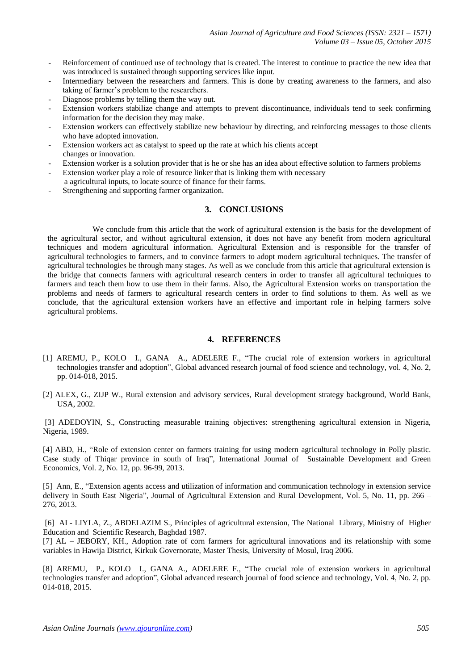- Reinforcement of continued use of technology that is created. The interest to continue to practice the new idea that was introduced is sustained through supporting services like input.
- Intermediary between the researchers and farmers. This is done by creating awareness to the farmers, and also taking of farmer's problem to the researchers.
- Diagnose problems by telling them the way out.
- Extension workers stabilize change and attempts to prevent discontinuance, individuals tend to seek confirming information for the decision they may make.
- Extension workers can effectively stabilize new behaviour by directing, and reinforcing messages to those clients who have adopted innovation.
- Extension workers act as catalyst to speed up the rate at which his clients accept changes or innovation.
- Extension worker is a solution provider that is he or she has an idea about effective solution to farmers problems
- Extension worker play a role of resource linker that is linking them with necessary
- a agricultural inputs, to locate source of finance for their farms.
- Strengthening and supporting farmer organization.

## **3. CONCLUSIONS**

We conclude from this article that the work of agricultural extension is the basis for the development of the agricultural sector, and without agricultural extension, it does not have any benefit from modern agricultural techniques and modern agricultural information. Agricultural Extension and is responsible for the transfer of agricultural technologies to farmers, and to convince farmers to adopt modern agricultural techniques. The transfer of agricultural technologies be through many stages. As well as we conclude from this article that agricultural extension is the bridge that connects farmers with agricultural research centers in order to transfer all agricultural techniques to farmers and teach them how to use them in their farms. Also, the Agricultural Extension works on transportation the problems and needs of farmers to agricultural research centers in order to find solutions to them. As well as we conclude, that the agricultural extension workers have an effective and important role in helping farmers solve agricultural problems.

### **4. REFERENCES**

- [1] AREMU, P., KOLO I., GANA A., ADELERE F., "The crucial role of extension workers in agricultural technologies transfer and adoption", Global advanced research journal of food science and technology, vol. 4, No. 2, pp. 014-018, 2015.
- [2] ALEX, G., ZIJP W., Rural extension and advisory services, Rural development strategy background, World Bank, USA, 2002.

[3] ADEDOYIN, S., Constructing measurable training objectives: strengthening agricultural extension in Nigeria, Nigeria, 1989.

[4] ABD, H., "Role of extension center on farmers training for using modern agricultural technology in Polly plastic. Case study of Thiqar province in south of Iraq", International Journal of Sustainable Development and Green Economics, Vol. 2, No. 12, pp. 96-99, 2013.

[5] Ann, E., "Extension agents access and utilization of information and communication technology in extension service delivery in South East Nigeria", Journal of Agricultural Extension and Rural Development, Vol. 5, No. 11, pp. 266 – 276, 2013.

[6] AL- LIYLA, Z., ABDELAZIM S., Principles of agricultural extension, The National Library, Ministry of Higher Education and Scientific Research, Baghdad 1987.

[7] AL – JEBORY, KH., Adoption rate of corn farmers for agricultural innovations and its relationship with some variables in Hawija District, Kirkuk Governorate, Master Thesis, University of Mosul, Iraq 2006.

[8] AREMU, P., KOLO I., GANA A., ADELERE F., "The crucial role of extension workers in agricultural technologies transfer and adoption", Global advanced research journal of food science and technology, Vol. 4, No. 2, pp. 014-018, 2015.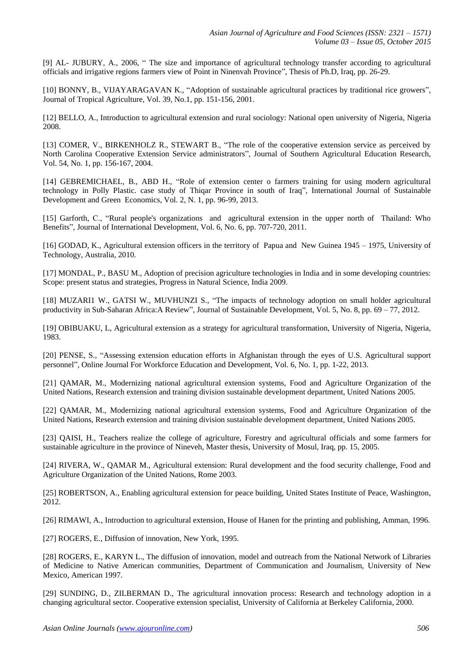[9] AL- JUBURY, A., 2006, " The size and importance of agricultural technology transfer according to agricultural officials and irrigative regions farmers view of Point in Ninenvah Province", Thesis of Ph.D, Iraq, pp. 26-29.

[10] BONNY, B., VIJAYARAGAVAN K., "Adoption of sustainable agricultural practices by traditional rice growers", Journal of Tropical Agriculture, Vol. 39, No.1, pp. 151-156, 2001.

[12] BELLO, A., Introduction to agricultural extension and rural sociology: National open university of Nigeria, Nigeria 2008.

[13] COMER, V., BIRKENHOLZ R., STEWART B., "The role of the cooperative extension service as perceived by North Carolina Cooperative Extension Service administrators", Journal of Southern Agricultural Education Research, Vol. 54, No. 1, pp. 156-167, 2004.

[14] GEBREMICHAEL, B., ABD H., "Role of extension center o farmers training for using modern agricultural technology in Polly Plastic. case study of Thiqar Province in south of Iraq", International Journal of Sustainable Development and Green Economics, Vol. 2, N. 1, pp. 96-99, 2013.

[15] Garforth, C., "Rural people's organizations and agricultural extension in the upper north of Thailand: Who Benefits", Journal of International Development, Vol. 6, No. 6, pp. 707-720, 2011.

[16] GODAD, K., Agricultural extension officers in the territory of Papua and New Guinea 1945 – 1975, University of Technology, Australia, 2010.

[17] MONDAL, P., BASU M., Adoption of precision agriculture technologies in India and in some developing countries: Scope: present status and strategies, Progress in Natural Science, India 2009.

[18] MUZARI1 W., GATSI W., MUVHUNZI S., "The impacts of technology adoption on small holder agricultural productivity in Sub-Saharan Africa:A Review", Journal of Sustainable Development, Vol. 5, No. 8, pp. 69 – 77, 2012.

[19] OBIBUAKU, L, Agricultural extension as a strategy for agricultural transformation, University of Nigeria, Nigeria, 1983.

[20] PENSE, S., "Assessing extension education efforts in Afghanistan through the eyes of U.S. Agricultural support personnel", Online Journal For Workforce Education and Development, Vol. 6, No. 1, pp. 1-22, 2013.

[21] QAMAR, M., Modernizing national agricultural extension systems, Food and Agriculture Organization of the United Nations, Research extension and training division sustainable development department, United Nations 2005.

[22] QAMAR, M., Modernizing national agricultural extension systems, Food and Agriculture Organization of the United Nations, Research extension and training division sustainable development department, United Nations 2005.

[23] QAISI, H., Teachers realize the college of agriculture, Forestry and agricultural officials and some farmers for sustainable agriculture in the province of Nineveh, Master thesis, University of Mosul, Iraq, pp. 15, 2005.

[24] RIVERA, W., QAMAR M., Agricultural extension: Rural development and the food security challenge, Food and Agriculture Organization of the United Nations, Rome 2003.

[25] ROBERTSON, A., Enabling agricultural extension for peace building, United States Institute of Peace, Washington, 2012.

[26] RIMAWI, A., Introduction to agricultural extension, House of Hanen for the printing and publishing, Amman, 1996.

[27] ROGERS, E., Diffusion of innovation, New York, 1995.

[28] ROGERS, E., KARYN L., The diffusion of innovation, model and outreach from the National Network of Libraries of Medicine to Native American communities, Department of Communication and Journalism, University of New Mexico, American 1997.

[29] SUNDING, D., ZILBERMAN D., The agricultural innovation process: Research and technology adoption in a changing agricultural sector. Cooperative extension specialist, University of California at Berkeley California, 2000.